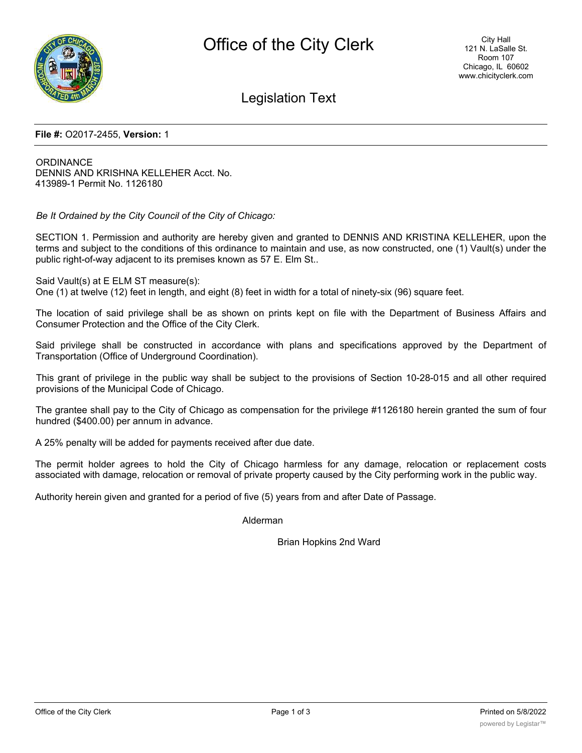

### Legislation Text

#### **File #:** O2017-2455, **Version:** 1

ORDINANCE DENNIS AND KRISHNA KELLEHER Acct. No. 413989-1 Permit No. 1126180

*Be It Ordained by the City Council of the City of Chicago:*

SECTION 1. Permission and authority are hereby given and granted to DENNIS AND KRISTINA KELLEHER, upon the terms and subject to the conditions of this ordinance to maintain and use, as now constructed, one (1) Vault(s) under the public right-of-way adjacent to its premises known as 57 E. Elm St..

Said Vault(s) at E ELM ST measure(s):

One (1) at twelve (12) feet in length, and eight (8) feet in width for a total of ninety-six (96) square feet.

The location of said privilege shall be as shown on prints kept on file with the Department of Business Affairs and Consumer Protection and the Office of the City Clerk.

Said privilege shall be constructed in accordance with plans and specifications approved by the Department of Transportation (Office of Underground Coordination).

This grant of privilege in the public way shall be subject to the provisions of Section 10-28-015 and all other required provisions of the Municipal Code of Chicago.

The grantee shall pay to the City of Chicago as compensation for the privilege #1126180 herein granted the sum of four hundred (\$400.00) per annum in advance.

A 25% penalty will be added for payments received after due date.

The permit holder agrees to hold the City of Chicago harmless for any damage, relocation or replacement costs associated with damage, relocation or removal of private property caused by the City performing work in the public way.

Authority herein given and granted for a period of five (5) years from and after Date of Passage.

Alderman

Brian Hopkins 2nd Ward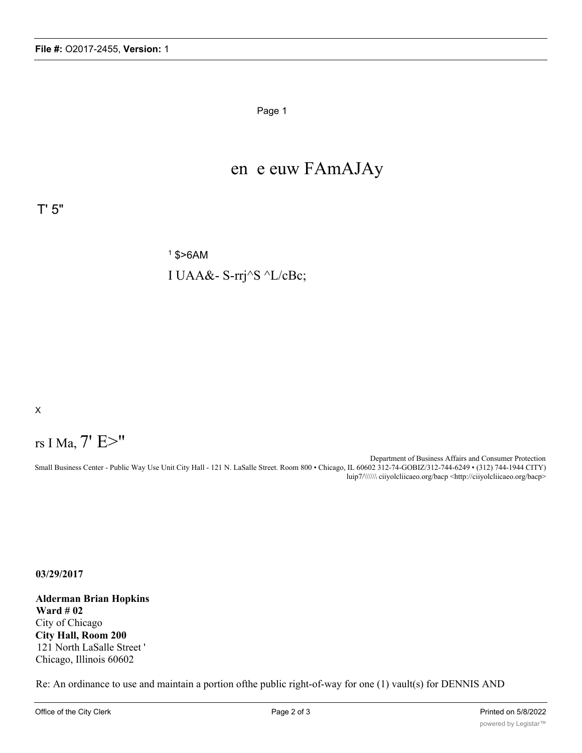Page 1

## en e euw FAmAJAy

T' 5"

 $1$  \$ > 6 AM I UAA&- S-rrj^S ^L/cBc;

X

# rs I Ma, 7' E>"

Department of Business Affairs and Consumer Protection Small Business Center - Public Way Use Unit City Hall - 121 N. LaSalle Street. Room 800 • Chicago, IL 60602 312-74-GOBIZ/312-744-6249 • (312) 744-1944 CITY) luip7/\\\\\\ ciiyolcliicaeo.org/bacp <http://ciiyolcliicaeo.org/bacp>

**03/29/2017**

**Alderman Brian Hopkins Ward # 02** City of Chicago **City Hall, Room 200** 121 North LaSalle Street ' Chicago, Illinois 60602

Re: An ordinance to use and maintain a portion ofthe public right-of-way for one (1) vault(s) for DENNIS AND